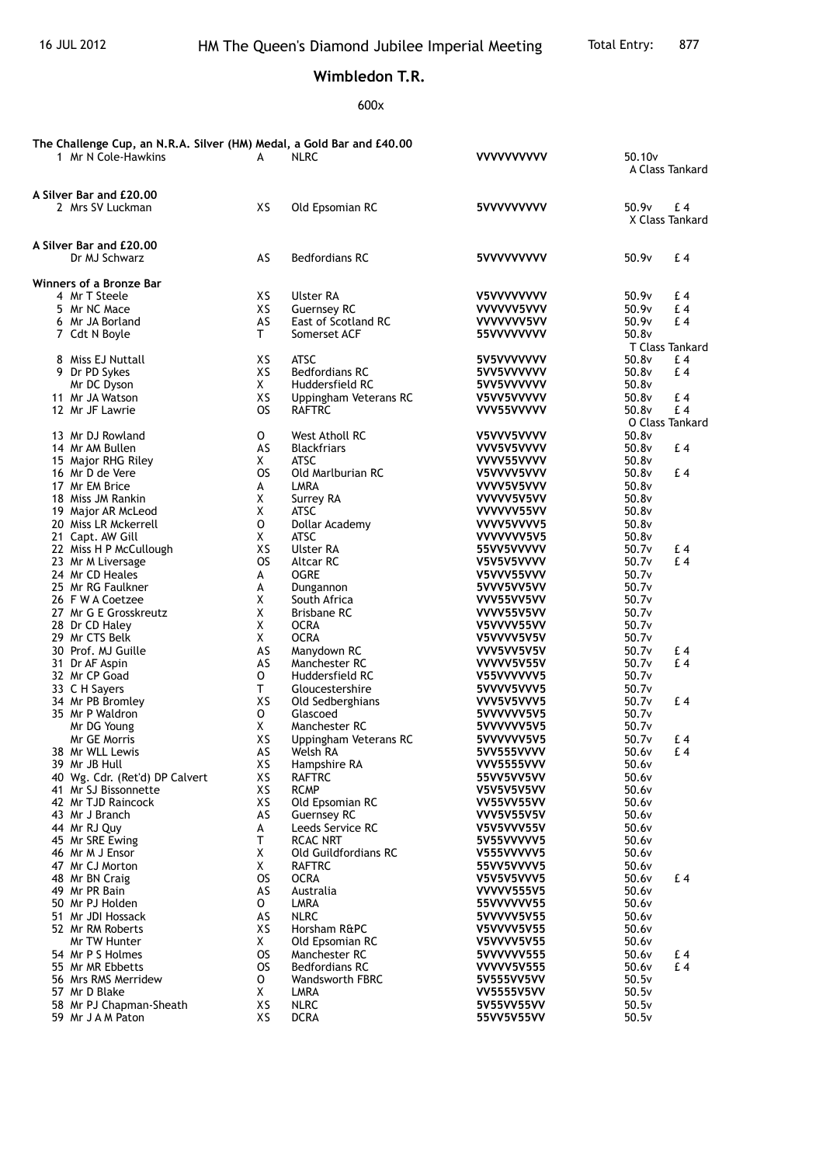## **Wimbledon T.R.**

600x

| The Challenge Cup, an N.R.A. Silver (HM) Medal, a Gold Bar and £40.00 |                 |                                                 |                                 |                    |           |
|-----------------------------------------------------------------------|-----------------|-------------------------------------------------|---------------------------------|--------------------|-----------|
| 1 Mr N Cole-Hawkins                                                   | A               | <b>NLRC</b>                                     | <b>VVVVVVVVVV</b>               | 50.10 <sub>v</sub> |           |
|                                                                       |                 |                                                 |                                 | A Class Tankard    |           |
| A Silver Bar and £20.00                                               |                 |                                                 |                                 |                    |           |
| 2 Mrs SV Luckman                                                      | XS              | Old Epsomian RC                                 | 5VVVVVVVVV                      | 50.9v              | £ 4       |
|                                                                       |                 |                                                 |                                 | X Class Tankard    |           |
| A Silver Bar and £20,00                                               |                 |                                                 |                                 |                    |           |
| Dr MJ Schwarz                                                         | AS              | <b>Bedfordians RC</b>                           | 5VVVVVVVVV                      | 50.9v              | £4        |
|                                                                       |                 |                                                 |                                 |                    |           |
| Winners of a Bronze Bar                                               |                 |                                                 |                                 |                    |           |
| 4 Mr T Steele<br>5 Mr NC Mace                                         | XS<br>XS        | Ulster RA<br><b>Guernsey RC</b>                 | V5VVVVVVVV<br>VVVVVV5VVV        | 50.9v<br>50.9v     | £4<br>£4  |
| 6 Mr JA Borland                                                       | AS              | East of Scotland RC                             | VVVVVVV5VV                      | 50.9v              | £4        |
| 7 Cdt N Boyle                                                         | T.              | Somerset ACF                                    | 55VVVVVVVV                      | 50.8v              |           |
|                                                                       |                 |                                                 |                                 | T Class Tankard    |           |
| 8 Miss EJ Nuttall                                                     | XS              | <b>ATSC</b>                                     | 5V5VVVVVVV                      | 50.8v              | £ 4       |
| 9 Dr PD Sykes                                                         | XS              | <b>Bedfordians RC</b>                           | 5VV5VVVVVV                      | 50.8v              | £4        |
| Mr DC Dyson                                                           | X.              | Huddersfield RC                                 | 5VV5VVVVVV                      | 50.8v              |           |
| 11 Mr JA Watson<br>12 Mr JF Lawrie                                    | XS<br><b>OS</b> | Uppingham Veterans RC<br><b>RAFTRC</b>          | V5VV5VVVVV<br>VVV55VVVVV        | 50.8v<br>50.8v     | £4<br>£4  |
|                                                                       |                 |                                                 |                                 | O Class Tankard    |           |
| 13 Mr DJ Rowland                                                      | O               | West Atholl RC                                  | V5VVV5VVVV                      | 50.8v              |           |
| 14 Mr AM Bullen                                                       | AS              | <b>Blackfriars</b>                              | VVV5V5VVVV                      | 50.8v              | £4        |
| 15 Major RHG Riley                                                    | X               | ATSC                                            | VVVV55VVVV                      | 50.8v              |           |
| 16 Mr D de Vere                                                       | <b>OS</b>       | Old Marlburian RC                               | V5VVVV5VVV                      | 50.8v              | £4        |
| 17 Mr EM Brice                                                        | А               | LMRA                                            | VVVV5V5VVV                      | 50.8v              |           |
| 18 Miss JM Rankin                                                     | Χ               | Surrey RA                                       | VVVVV5V5VV                      | 50.8v              |           |
| 19 Major AR McLeod<br>20 Miss LR Mckerrell                            | X<br>0          | ATSC                                            | VVVVVV55VV<br>VVVV5VVVV5        | 50.8v<br>50.8v     |           |
| 21 Capt. AW Gill                                                      | X               | Dollar Academy<br><b>ATSC</b>                   | VVVVVVV5V5                      | 50.8v              |           |
| 22 Miss H P McCullough                                                | XS              | Ulster RA                                       | 55VV5VVVVV                      | 50.7v              | £4        |
| 23 Mr M Liversage                                                     | <b>OS</b>       | <b>Altcar RC</b>                                | V5V5V5VVVV                      | 50.7v              | £4        |
| 24 Mr CD Heales                                                       | A               | <b>OGRE</b>                                     | V5VVV55VVV                      | 50.7v              |           |
| 25 Mr RG Faulkner                                                     | А               | Dungannon                                       | 5VVV5VV5VV                      | 50.7v              |           |
| 26 F W A Coetzee                                                      | X               | South Africa                                    | VVV55VV5VV                      | 50.7v              |           |
| 27 Mr G E Grosskreutz                                                 | Χ               | <b>Brisbane RC</b>                              | VVVV55V5VV                      | 50.7v              |           |
| 28 Dr CD Haley<br>29 Mr CTS Belk                                      | X<br>X          | <b>OCRA</b><br><b>OCRA</b>                      | V5VVVV55VV                      | 50.7v<br>50.7v     |           |
| 30 Prof. MJ Guille                                                    | AS              | Manydown RC                                     | V5VVVV5V5V<br>VVV5VV5V5V        | 50.7v              | £4        |
| 31 Dr AF Aspin                                                        | AS              | Manchester RC                                   | VVVVV5V55V                      | 50.7v              | £4        |
| 32 Mr CP Goad                                                         | 0               | Huddersfield RC                                 | V55VVVVVV5                      | 50.7 <sub>v</sub>  |           |
| 33 C H Savers                                                         | T.              | Gloucestershire                                 | 5VVVV5VVV5                      | 50.7v              |           |
| 34 Mr PB Bromley                                                      | XS              | Old Sedberghians                                | VVV5V5VVV5                      | 50.7v              | £4        |
| 35 Mr P Waldron                                                       | 0               | Glascoed                                        | 5VVVVVV5V5                      | 50.7v              |           |
| Mr DG Young                                                           | X               | Manchester RC                                   | 5VVVVVV5V5                      | 50.7v              |           |
| <b>Mr GE Morris</b><br>38 Mr WLL Lewis                                | XS<br>AS        | Uppingham Veterans RC<br>Welsh RA               | 5VVVVVV5V5<br>5VV555VVVV        | 50.7v<br>50.6v     | £ 4<br>£4 |
| 39 Mr JB Hull                                                         | XS              | Hampshire RA                                    | <b>VVV5555VVV</b>               | 50.6v              |           |
| 40 Wg. Cdr. (Ret'd) DP Calvert                                        | XS              | <b>RAFTRC</b>                                   | 55VV5VV5VV                      | 50.6v              |           |
| 41 Mr SJ Bissonnette                                                  | XS              | <b>RCMP</b>                                     | V5V5V5V5VV                      | 50.6v              |           |
| 42 Mr TJD Raincock                                                    | XS              | Old Epsomian RC                                 | VV55VV55VV                      | 50.6v              |           |
| 43 Mr J Branch                                                        | AS              | <b>Guernsey RC</b>                              | <b>VVV5V55V5V</b>               | 50.6v              |           |
| 44 Mr RJ Quy                                                          | A               | Leeds Service RC                                | V5V5VVV55V                      | 50.6v              |           |
| 45 Mr SRE Ewing                                                       | T.              | <b>RCAC NRT</b><br>Old Guildfordians RC         | 5V55VVVVV5                      | 50.6v              |           |
| 46 Mr M J Ensor<br>47 Mr CJ Morton                                    | X<br>X          | <b>RAFTRC</b>                                   | V555VVVVV5<br>55VV5VVVV5        | 50.6v<br>50.6v     |           |
| 48 Mr BN Craig                                                        | <b>OS</b>       | <b>OCRA</b>                                     | V5V5V5VVV5                      | 50.6v              | £4        |
| 49 Mr PR Bain                                                         | AS              | Australia                                       | <b>VVVVV555V5</b>               | 50.6v              |           |
| 50 Mr PJ Holden                                                       | 0               | LMRA                                            | 55VVVVVV55                      | 50.6v              |           |
| 51 Mr JDI Hossack                                                     | AS              | <b>NLRC</b>                                     | 5VVVVV5V55                      | 50.6v              |           |
| 52 Mr RM Roberts                                                      | XS              | Horsham R&PC                                    | V5VVVV5V55                      | 50.6v              |           |
| Mr TW Hunter                                                          | X               | Old Epsomian RC                                 | <b>V5VVVV5V55</b>               | 50.6v              |           |
| 54 Mr P S Holmes                                                      | OS.             | Manchester RC                                   | 5VVVVVV555                      | 50.6v              | £4        |
| 55 Mr MR Ebbetts<br>56 Mrs RMS Merridew                               | OS.<br>0        | <b>Bedfordians RC</b><br><b>Wandsworth FBRC</b> | <b>VVVVV5V555</b><br>5V555VV5VV | 50.6v<br>50.5v     | £4        |
| 57 Mr D Blake                                                         | X               | LMRA                                            | <b>VV5555V5VV</b>               | 50.5v              |           |
| 58 Mr PJ Chapman-Sheath                                               | XS              | <b>NLRC</b>                                     | 5V55VV55VV                      | 50.5v              |           |
| 59 Mr J A M Paton                                                     | XS              | <b>DCRA</b>                                     | 55VV5V55VV                      | 50.5v              |           |
|                                                                       |                 |                                                 |                                 |                    |           |